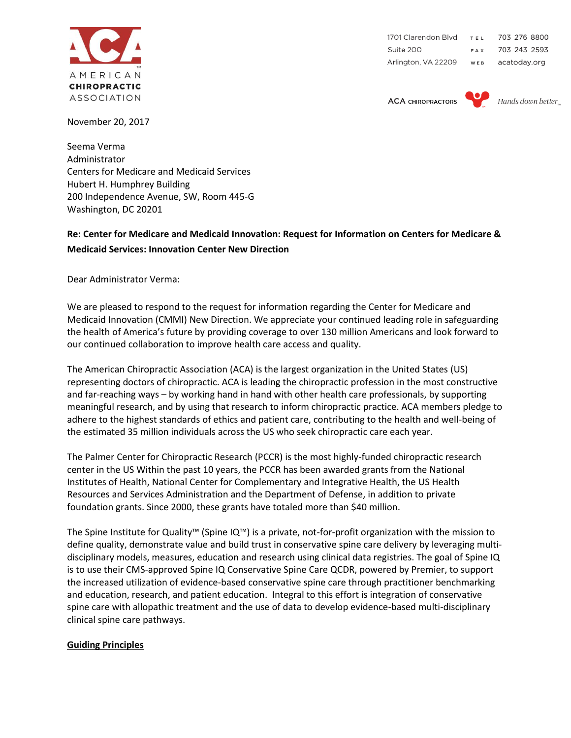

1701 Clarendon Blvd TEL 703 276 8800 Suite 200 703 243 2593 FAX Arlington, VA 22209 acatoday.org WEB

**ACA CHIROPRACTORS** 



Hands down better

November 20, 2017

Seema Verma Administrator Centers for Medicare and Medicaid Services Hubert H. Humphrey Building 200 Independence Avenue, SW, Room 445‐G Washington, DC 20201

# **Re: Center for Medicare and Medicaid Innovation: Request for Information on Centers for Medicare & Medicaid Services: Innovation Center New Direction**

Dear Administrator Verma:

We are pleased to respond to the request for information regarding the Center for Medicare and Medicaid Innovation (CMMI) New Direction. We appreciate your continued leading role in safeguarding the health of America's future by providing coverage to over 130 million Americans and look forward to our continued collaboration to improve health care access and quality.

The American Chiropractic Association (ACA) is the largest organization in the United States (US) representing doctors of chiropractic. ACA is leading the chiropractic profession in the most constructive and far-reaching ways – by working hand in hand with other health care professionals, by supporting meaningful research, and by using that research to inform chiropractic practice. ACA members pledge to adhere to the highest standards of ethics and patient care, contributing to the health and well-being of the estimated 35 million individuals across the US who seek chiropractic care each year.

The Palmer Center for Chiropractic Research (PCCR) is the most highly-funded chiropractic research center in the US Within the past 10 years, the PCCR has been awarded grants from the National Institutes of Health, National Center for Complementary and Integrative Health, the US Health Resources and Services Administration and the Department of Defense, in addition to private foundation grants. Since 2000, these grants have totaled more than \$40 million.

The Spine Institute for Quality™ (Spine IQ™) is a private, not-for-profit organization with the mission to define quality, demonstrate value and build trust in conservative spine care delivery by leveraging multidisciplinary models, measures, education and research using clinical data registries. The goal of Spine IQ is to use their CMS-approved Spine IQ Conservative Spine Care QCDR, powered by Premier, to support the increased utilization of evidence-based conservative spine care through practitioner benchmarking and education, research, and patient education. Integral to this effort is integration of conservative spine care with allopathic treatment and the use of data to develop evidence-based multi-disciplinary clinical spine care pathways.

## **Guiding Principles**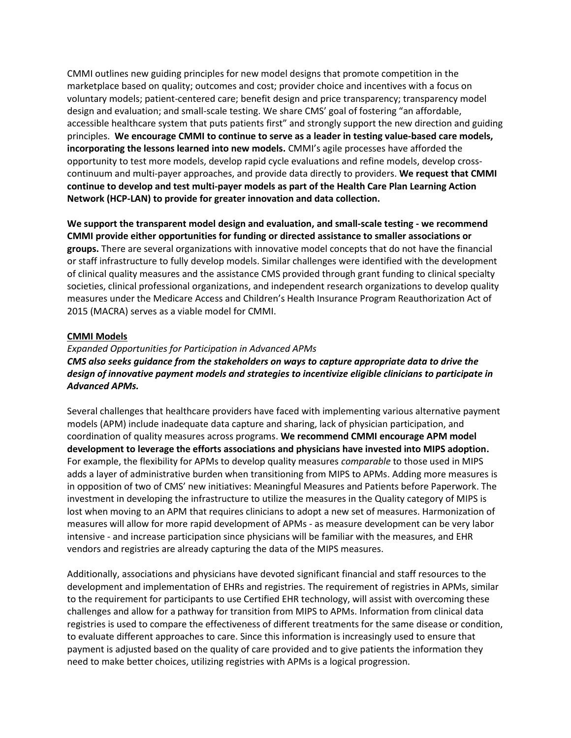CMMI outlines new guiding principles for new model designs that promote competition in the marketplace based on quality; outcomes and cost; provider choice and incentives with a focus on voluntary models; patient-centered care; benefit design and price transparency; transparency model design and evaluation; and small-scale testing. We share CMS' goal of fostering "an affordable, accessible healthcare system that puts patients first" and strongly support the new direction and guiding principles. **We encourage CMMI to continue to serve as a leader in testing value-based care models, incorporating the lessons learned into new models.** CMMI's agile processes have afforded the opportunity to test more models, develop rapid cycle evaluations and refine models, develop crosscontinuum and multi-payer approaches, and provide data directly to providers. **We request that CMMI continue to develop and test multi-payer models as part of the Health Care Plan Learning Action Network (HCP-LAN) to provide for greater innovation and data collection.** 

**We support the transparent model design and evaluation, and small-scale testing - we recommend CMMI provide either opportunities for funding or directed assistance to smaller associations or groups.** There are several organizations with innovative model concepts that do not have the financial or staff infrastructure to fully develop models. Similar challenges were identified with the development of clinical quality measures and the assistance CMS provided through grant funding to clinical specialty societies, clinical professional organizations, and independent research organizations to develop quality measures under the Medicare Access and Children's Health Insurance Program Reauthorization Act of 2015 (MACRA) serves as a viable model for CMMI.

#### **CMMI Models**

*Expanded Opportunities for Participation in Advanced APMs CMS also seeks guidance from the stakeholders on ways to capture appropriate data to drive the design of innovative payment models and strategies to incentivize eligible clinicians to participate in Advanced APMs.* 

Several challenges that healthcare providers have faced with implementing various alternative payment models (APM) include inadequate data capture and sharing, lack of physician participation, and coordination of quality measures across programs. **We recommend CMMI encourage APM model development to leverage the efforts associations and physicians have invested into MIPS adoption.** For example, the flexibility for APMs to develop quality measures *comparable* to those used in MIPS adds a layer of administrative burden when transitioning from MIPS to APMs. Adding more measures is in opposition of two of CMS' new initiatives: Meaningful Measures and Patients before Paperwork. The investment in developing the infrastructure to utilize the measures in the Quality category of MIPS is lost when moving to an APM that requires clinicians to adopt a new set of measures. Harmonization of measures will allow for more rapid development of APMs - as measure development can be very labor intensive - and increase participation since physicians will be familiar with the measures, and EHR vendors and registries are already capturing the data of the MIPS measures.

Additionally, associations and physicians have devoted significant financial and staff resources to the development and implementation of EHRs and registries. The requirement of registries in APMs, similar to the requirement for participants to use Certified EHR technology, will assist with overcoming these challenges and allow for a pathway for transition from MIPS to APMs. Information from clinical data registries is used to compare the effectiveness of different treatments for the same disease or condition, to evaluate different approaches to care. Since this information is increasingly used to ensure that payment is adjusted based on the quality of care provided and to give patients the information they need to make better choices, utilizing registries with APMs is a logical progression.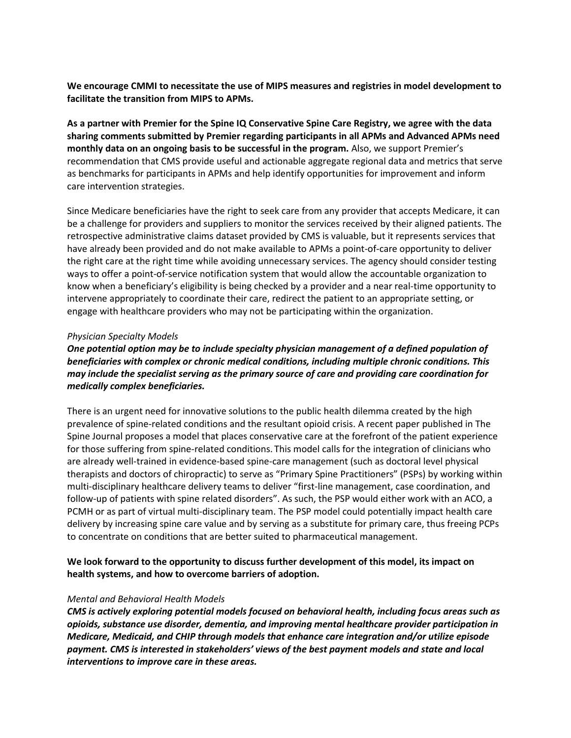**We encourage CMMI to necessitate the use of MIPS measures and registries in model development to facilitate the transition from MIPS to APMs.** 

**As a partner with Premier for the Spine IQ Conservative Spine Care Registry, we agree with the data sharing comments submitted by Premier regarding participants in all APMs and Advanced APMs need monthly data on an ongoing basis to be successful in the program.** Also, we support Premier's recommendation that CMS provide useful and actionable aggregate regional data and metrics that serve as benchmarks for participants in APMs and help identify opportunities for improvement and inform care intervention strategies.

Since Medicare beneficiaries have the right to seek care from any provider that accepts Medicare, it can be a challenge for providers and suppliers to monitor the services received by their aligned patients. The retrospective administrative claims dataset provided by CMS is valuable, but it represents services that have already been provided and do not make available to APMs a point-of-care opportunity to deliver the right care at the right time while avoiding unnecessary services. The agency should consider testing ways to offer a point-of-service notification system that would allow the accountable organization to know when a beneficiary's eligibility is being checked by a provider and a near real-time opportunity to intervene appropriately to coordinate their care, redirect the patient to an appropriate setting, or engage with healthcare providers who may not be participating within the organization.

#### *Physician Specialty Models*

*One potential option may be to include specialty physician management of a defined population of beneficiaries with complex or chronic medical conditions, including multiple chronic conditions. This may include the specialist serving as the primary source of care and providing care coordination for medically complex beneficiaries.* 

There is an urgent need for innovative solutions to the public health dilemma created by the high prevalence of spine-related conditions and the resultant opioid crisis. A recent paper published in The Spine Journal proposes a model that places conservative care at the forefront of the patient experience for those suffering from spine-related conditions. This model calls for the integration of clinicians who are already well-trained in evidence-based spine-care management (such as doctoral level physical therapists and doctors of chiropractic) to serve as "Primary Spine Practitioners" (PSPs) by working within multi-disciplinary healthcare delivery teams to deliver "first-line management, case coordination, and follow-up of patients with spine related disorders". As such, the PSP would either work with an ACO, a PCMH or as part of virtual multi-disciplinary team. The PSP model could potentially impact health care delivery by increasing spine care value and by serving as a substitute for primary care, thus freeing PCPs to concentrate on conditions that are better suited to pharmaceutical management.

## **We look forward to the opportunity to discuss further development of this model, its impact on health systems, and how to overcome barriers of adoption.**

## *Mental and Behavioral Health Models*

*CMS is actively exploring potential models focused on behavioral health, including focus areas such as opioids, substance use disorder, dementia, and improving mental healthcare provider participation in Medicare, Medicaid, and CHIP through models that enhance care integration and/or utilize episode payment. CMS is interested in stakeholders' views of the best payment models and state and local interventions to improve care in these areas.*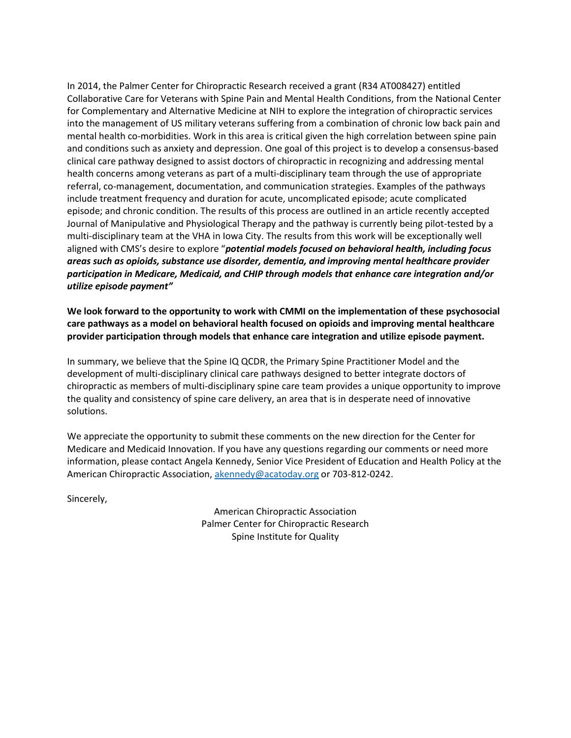In 2014, the Palmer Center for Chiropractic Research received a grant (R34 AT008427) entitled Collaborative Care for Veterans with Spine Pain and Mental Health Conditions, from the National Center for Complementary and Alternative Medicine at NIH to explore the integration of chiropractic services into the management of US military veterans suffering from a combination of chronic low back pain and mental health co-morbidities. Work in this area is critical given the high correlation between spine pain and conditions such as anxiety and depression. One goal of this project is to develop a consensus-based clinical care pathway designed to assist doctors of chiropractic in recognizing and addressing mental health concerns among veterans as part of a multi-disciplinary team through the use of appropriate referral, co-management, documentation, and communication strategies. Examples of the pathways include treatment frequency and duration for acute, uncomplicated episode; acute complicated episode; and chronic condition. The results of this process are outlined in an article recently accepted Journal of Manipulative and Physiological Therapy and the pathway is currently being pilot-tested by a multi-disciplinary team at the VHA in Iowa City. The results from this work will be exceptionally well aligned with CMS's desire to explore "*potential models focused on behavioral health, including focus areas such as opioids, substance use disorder, dementia, and improving mental healthcare provider participation in Medicare, Medicaid, and CHIP through models that enhance care integration and/or utilize episode payment"*

**We look forward to the opportunity to work with CMMI on the implementation of these psychosocial care pathways as a model on behavioral health focused on opioids and improving mental healthcare provider participation through models that enhance care integration and utilize episode payment.** 

In summary, we believe that the Spine IQ QCDR, the Primary Spine Practitioner Model and the development of multi-disciplinary clinical care pathways designed to better integrate doctors of chiropractic as members of multi-disciplinary spine care team provides a unique opportunity to improve the quality and consistency of spine care delivery, an area that is in desperate need of innovative solutions.

We appreciate the opportunity to submit these comments on the new direction for the Center for Medicare and Medicaid Innovation. If you have any questions regarding our comments or need more information, please contact Angela Kennedy, Senior Vice President of Education and Health Policy at the American Chiropractic Association, [akennedy@acatoday.org](mailto:akennedy@acatoday.org) or 703-812-0242.

Sincerely,

American Chiropractic Association Palmer Center for Chiropractic Research Spine Institute for Quality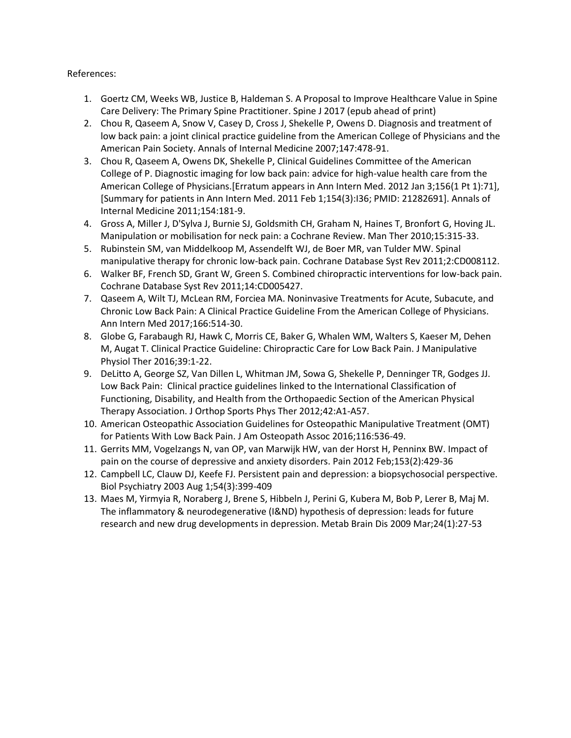References:

- 1. Goertz CM, Weeks WB, Justice B, Haldeman S. A Proposal to Improve Healthcare Value in Spine Care Delivery: The Primary Spine Practitioner. Spine J 2017 (epub ahead of print)
- 2. Chou R, Qaseem A, Snow V, Casey D, Cross J, Shekelle P, Owens D. Diagnosis and treatment of low back pain: a joint clinical practice guideline from the American College of Physicians and the American Pain Society. Annals of Internal Medicine 2007;147:478-91.
- 3. Chou R, Qaseem A, Owens DK, Shekelle P, Clinical Guidelines Committee of the American College of P. Diagnostic imaging for low back pain: advice for high-value health care from the American College of Physicians.[Erratum appears in Ann Intern Med. 2012 Jan 3;156(1 Pt 1):71], [Summary for patients in Ann Intern Med. 2011 Feb 1;154(3):I36; PMID: 21282691]. Annals of Internal Medicine 2011;154:181-9.
- 4. Gross A, Miller J, D'Sylva J, Burnie SJ, Goldsmith CH, Graham N, Haines T, Bronfort G, Hoving JL. Manipulation or mobilisation for neck pain: a Cochrane Review. Man Ther 2010;15:315-33.
- 5. Rubinstein SM, van Middelkoop M, Assendelft WJ, de Boer MR, van Tulder MW. Spinal manipulative therapy for chronic low-back pain. Cochrane Database Syst Rev 2011;2:CD008112.
- 6. Walker BF, French SD, Grant W, Green S. Combined chiropractic interventions for low-back pain. Cochrane Database Syst Rev 2011;14:CD005427.
- 7. Qaseem A, Wilt TJ, McLean RM, Forciea MA. Noninvasive Treatments for Acute, Subacute, and Chronic Low Back Pain: A Clinical Practice Guideline From the American College of Physicians. Ann Intern Med 2017;166:514-30.
- 8. Globe G, Farabaugh RJ, Hawk C, Morris CE, Baker G, Whalen WM, Walters S, Kaeser M, Dehen M, Augat T. Clinical Practice Guideline: Chiropractic Care for Low Back Pain. J Manipulative Physiol Ther 2016;39:1-22.
- 9. DeLitto A, George SZ, Van Dillen L, Whitman JM, Sowa G, Shekelle P, Denninger TR, Godges JJ. Low Back Pain: Clinical practice guidelines linked to the International Classification of Functioning, Disability, and Health from the Orthopaedic Section of the American Physical Therapy Association. J Orthop Sports Phys Ther 2012;42:A1-A57.
- 10. American Osteopathic Association Guidelines for Osteopathic Manipulative Treatment (OMT) for Patients With Low Back Pain. J Am Osteopath Assoc 2016;116:536-49.
- 11. Gerrits MM, Vogelzangs N, van OP, van Marwijk HW, van der Horst H, Penninx BW. Impact of pain on the course of depressive and anxiety disorders. Pain 2012 Feb;153(2):429-36
- 12. Campbell LC, Clauw DJ, Keefe FJ. Persistent pain and depression: a biopsychosocial perspective. Biol Psychiatry 2003 Aug 1;54(3):399-409
- 13. Maes M, Yirmyia R, Noraberg J, Brene S, Hibbeln J, Perini G, Kubera M, Bob P, Lerer B, Maj M. The inflammatory & neurodegenerative (I&ND) hypothesis of depression: leads for future research and new drug developments in depression. Metab Brain Dis 2009 Mar;24(1):27-53